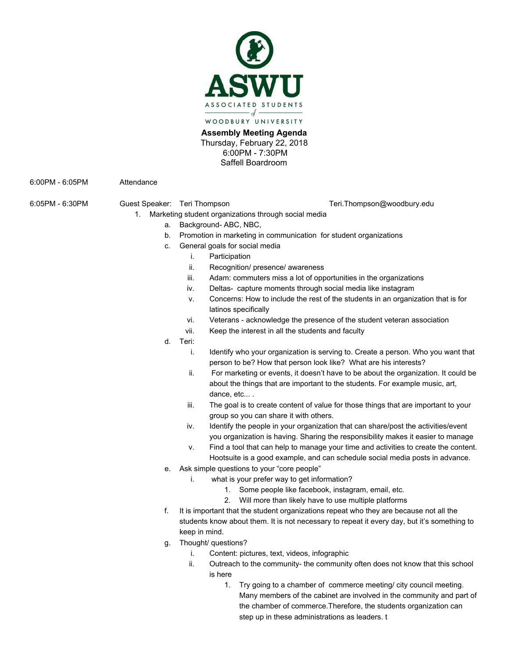

**Assembly Meeting Agenda**  Thursday, February 22, 2018 6:00PM - 7:30PM Saffell Boardroom

6:00PM - 6:05PM Attendance

6:05PM - 6:30PM Guest Speaker: Teri Thompson Teri.Thompson@woodbury.edu

- 1. Marketing student organizations through social media
	- a. Background- ABC, NBC,
	- b. Promotion in marketing in communication for student organizations
	- c. General goals for social media
		- i. Participation
		- ii. Recognition/ presence/ awareness
		- iii. Adam: commuters miss a lot of opportunities in the organizations
		- iv. Deltas- capture moments through social media like instagram
		- v. Concerns: How to include the rest of the students in an organization that is for latinos specifically
		- vi. Veterans acknowledge the presence of the student veteran association
		- vii. Keep the interest in all the students and faculty
	- d. Teri:
		- i. Identify who your organization is serving to. Create a person. Who you want that person to be? How that person look like? What are his interests?
		- ii. For marketing or events, it doesn't have to be about the organization. It could be about the things that are important to the students. For example music, art, dance, etc... .
		- iii. The goal is to create content of value for those things that are important to your group so you can share it with others.
		- iv. Identify the people in your organization that can share/post the activities/event you organization is having. Sharing the responsibility makes it easier to manage
		- v. Find a tool that can help to manage your time and activities to create the content. Hootsuite is a good example, and can schedule social media posts in advance.
	- e. Ask simple questions to your "core people"
		- i. what is your prefer way to get information?
			- 1. Some people like facebook, instagram, email, etc.
			- 2. Will more than likely have to use multiple platforms
	- f. It is important that the student organizations repeat who they are because not all the students know about them. It is not necessary to repeat it every day, but it's something to keep in mind.
	- g. Thought/ questions?
		- i. Content: pictures, text, videos, infographic
		- ii. Outreach to the community- the community often does not know that this school is here
			- 1. Try going to a chamber of commerce meeting/ city council meeting. Many members of the cabinet are involved in the community and part of the chamber of commerce.Therefore, the students organization can step up in these administrations as leaders. t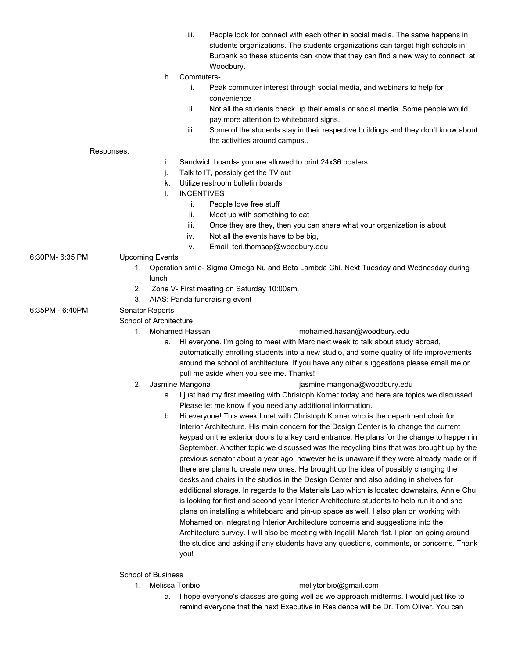|                 |            |                        | iii.<br>People look for connect with each other in social media. The same happens in<br>students organizations. The students organizations can target high schools in<br>Burbank so these students can know that they can find a new way to connect at<br>Woodbury.                                                                                                                                                                                                                                                                                                                                                                                                                                                                                                                                                                                                                                                                                                                                                                                                                                                                                                                                                      |
|-----------------|------------|------------------------|--------------------------------------------------------------------------------------------------------------------------------------------------------------------------------------------------------------------------------------------------------------------------------------------------------------------------------------------------------------------------------------------------------------------------------------------------------------------------------------------------------------------------------------------------------------------------------------------------------------------------------------------------------------------------------------------------------------------------------------------------------------------------------------------------------------------------------------------------------------------------------------------------------------------------------------------------------------------------------------------------------------------------------------------------------------------------------------------------------------------------------------------------------------------------------------------------------------------------|
|                 |            | h.                     | Commuters-                                                                                                                                                                                                                                                                                                                                                                                                                                                                                                                                                                                                                                                                                                                                                                                                                                                                                                                                                                                                                                                                                                                                                                                                               |
|                 |            |                        | Peak commuter interest through social media, and webinars to help for<br>i.<br>convenience                                                                                                                                                                                                                                                                                                                                                                                                                                                                                                                                                                                                                                                                                                                                                                                                                                                                                                                                                                                                                                                                                                                               |
|                 |            |                        | ii.<br>Not all the students check up their emails or social media. Some people would                                                                                                                                                                                                                                                                                                                                                                                                                                                                                                                                                                                                                                                                                                                                                                                                                                                                                                                                                                                                                                                                                                                                     |
|                 |            |                        | pay more attention to whiteboard signs.                                                                                                                                                                                                                                                                                                                                                                                                                                                                                                                                                                                                                                                                                                                                                                                                                                                                                                                                                                                                                                                                                                                                                                                  |
|                 |            |                        | Some of the students stay in their respective buildings and they don't know about<br>iii.                                                                                                                                                                                                                                                                                                                                                                                                                                                                                                                                                                                                                                                                                                                                                                                                                                                                                                                                                                                                                                                                                                                                |
|                 |            |                        | the activities around campus                                                                                                                                                                                                                                                                                                                                                                                                                                                                                                                                                                                                                                                                                                                                                                                                                                                                                                                                                                                                                                                                                                                                                                                             |
|                 | Responses: | İ.                     | Sandwich boards- you are allowed to print 24x36 posters                                                                                                                                                                                                                                                                                                                                                                                                                                                                                                                                                                                                                                                                                                                                                                                                                                                                                                                                                                                                                                                                                                                                                                  |
|                 |            | j.                     | Talk to IT, possibly get the TV out                                                                                                                                                                                                                                                                                                                                                                                                                                                                                                                                                                                                                                                                                                                                                                                                                                                                                                                                                                                                                                                                                                                                                                                      |
|                 |            | k.                     | Utilize restroom bulletin boards                                                                                                                                                                                                                                                                                                                                                                                                                                                                                                                                                                                                                                                                                                                                                                                                                                                                                                                                                                                                                                                                                                                                                                                         |
|                 |            | Ι.                     | <b>INCENTIVES</b>                                                                                                                                                                                                                                                                                                                                                                                                                                                                                                                                                                                                                                                                                                                                                                                                                                                                                                                                                                                                                                                                                                                                                                                                        |
|                 |            |                        | i.<br>People love free stuff                                                                                                                                                                                                                                                                                                                                                                                                                                                                                                                                                                                                                                                                                                                                                                                                                                                                                                                                                                                                                                                                                                                                                                                             |
|                 |            |                        | Meet up with something to eat<br>ii.                                                                                                                                                                                                                                                                                                                                                                                                                                                                                                                                                                                                                                                                                                                                                                                                                                                                                                                                                                                                                                                                                                                                                                                     |
|                 |            |                        | Once they are they, then you can share what your organization is about<br>iii.                                                                                                                                                                                                                                                                                                                                                                                                                                                                                                                                                                                                                                                                                                                                                                                                                                                                                                                                                                                                                                                                                                                                           |
|                 |            |                        | Not all the events have to be big,<br>iv.                                                                                                                                                                                                                                                                                                                                                                                                                                                                                                                                                                                                                                                                                                                                                                                                                                                                                                                                                                                                                                                                                                                                                                                |
|                 |            |                        | Email: teri.thomsop@woodbury.edu<br>ν.                                                                                                                                                                                                                                                                                                                                                                                                                                                                                                                                                                                                                                                                                                                                                                                                                                                                                                                                                                                                                                                                                                                                                                                   |
| 6:30PM- 6:35 PM |            | <b>Upcoming Events</b> |                                                                                                                                                                                                                                                                                                                                                                                                                                                                                                                                                                                                                                                                                                                                                                                                                                                                                                                                                                                                                                                                                                                                                                                                                          |
|                 |            |                        | 1. Operation smile- Sigma Omega Nu and Beta Lambda Chi. Next Tuesday and Wednesday during                                                                                                                                                                                                                                                                                                                                                                                                                                                                                                                                                                                                                                                                                                                                                                                                                                                                                                                                                                                                                                                                                                                                |
|                 |            | lunch                  |                                                                                                                                                                                                                                                                                                                                                                                                                                                                                                                                                                                                                                                                                                                                                                                                                                                                                                                                                                                                                                                                                                                                                                                                                          |
|                 | 2.         |                        | Zone V- First meeting on Saturday 10:00am.                                                                                                                                                                                                                                                                                                                                                                                                                                                                                                                                                                                                                                                                                                                                                                                                                                                                                                                                                                                                                                                                                                                                                                               |
|                 | 3.         |                        | AIAS: Panda fundraising event                                                                                                                                                                                                                                                                                                                                                                                                                                                                                                                                                                                                                                                                                                                                                                                                                                                                                                                                                                                                                                                                                                                                                                                            |
| 6:35PM - 6:40PM |            | Senator Reports        |                                                                                                                                                                                                                                                                                                                                                                                                                                                                                                                                                                                                                                                                                                                                                                                                                                                                                                                                                                                                                                                                                                                                                                                                                          |
|                 |            | School of Architecture |                                                                                                                                                                                                                                                                                                                                                                                                                                                                                                                                                                                                                                                                                                                                                                                                                                                                                                                                                                                                                                                                                                                                                                                                                          |
|                 | 1.         | Mohamed Hassan         | mohamed.hasan@woodbury.edu                                                                                                                                                                                                                                                                                                                                                                                                                                                                                                                                                                                                                                                                                                                                                                                                                                                                                                                                                                                                                                                                                                                                                                                               |
|                 |            | а.                     | Hi everyone. I'm going to meet with Marc next week to talk about study abroad,<br>automatically enrolling students into a new studio, and some quality of life improvements<br>around the school of architecture. If you have any other suggestions please email me or<br>pull me aside when you see me. Thanks!                                                                                                                                                                                                                                                                                                                                                                                                                                                                                                                                                                                                                                                                                                                                                                                                                                                                                                         |
|                 | 2.         |                        | Jasmine Mangona<br>jasmine.mangona@woodbury.edu                                                                                                                                                                                                                                                                                                                                                                                                                                                                                                                                                                                                                                                                                                                                                                                                                                                                                                                                                                                                                                                                                                                                                                          |
|                 |            |                        | a. I just had my first meeting with Christoph Korner today and here are topics we discussed.<br>Please let me know if you need any additional information.                                                                                                                                                                                                                                                                                                                                                                                                                                                                                                                                                                                                                                                                                                                                                                                                                                                                                                                                                                                                                                                               |
|                 |            | b.                     | Hi everyone! This week I met with Christoph Korner who is the department chair for<br>Interior Architecture. His main concern for the Design Center is to change the current<br>keypad on the exterior doors to a key card entrance. He plans for the change to happen in<br>September. Another topic we discussed was the recycling bins that was brought up by the<br>previous senator about a year ago, however he is unaware if they were already made or if<br>there are plans to create new ones. He brought up the idea of possibly changing the<br>desks and chairs in the studios in the Design Center and also adding in shelves for<br>additional storage. In regards to the Materials Lab which is located downstairs, Annie Chu<br>is looking for first and second year Interior Architecture students to help run it and she<br>plans on installing a whiteboard and pin-up space as well. I also plan on working with<br>Mohamed on integrating Interior Architecture concerns and suggestions into the<br>Architecture survey. I will also be meeting with Ingalill March 1st. I plan on going around<br>the studios and asking if any students have any questions, comments, or concerns. Thank<br>you! |

School of Business

- 1. Melissa Toribio [mellytoribio@gmail.com](mailto:mellytoribio@gmail.com) 
	- a. I hope everyone's classes are going well as we approach midterms. I would just like to remind everyone that the next Executive in Residence will be Dr. Tom Oliver. You can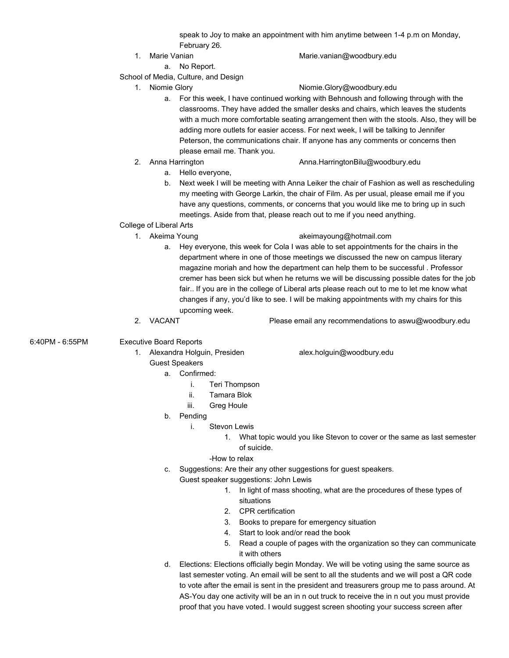speak to Joy to make an appointment with him anytime between 1-4 p.m on Monday, February 26.

# 1. Marie Vanian Marie.vanian@woodbury.edu

a. No Report.

School of Media, Culture, and Design

## 1. Niomie Glory **Niomie.Glory@woodbury.edu**

- a. For this week, I have continued working with Behnoush and following through with the classrooms. They have added the smaller desks and chairs, which leaves the students with a much more comfortable seating arrangement then with the stools. Also, they will be adding more outlets for easier access. For next week, I will be talking to Jennifer Peterson, the communications chair. If anyone has any comments or concerns then please email me. Thank you.
- 
- 2. Anna Harrington **[Anna.HarringtonBilu@woodbury.edu](mailto:Anna.HarringtonBilu@woodbury.edu)** 
	- a. Hello everyone,
	- b. Next week I will be meeting with Anna Leiker the chair of Fashion as well as rescheduling my meeting with George Larkin, the chair of Film. As per usual, please email me if you have any questions, comments, or concerns that you would like me to bring up in such meetings. Aside from that, please reach out to me if you need anything.

## College of Liberal Arts

## 1. Akeima Young [akeimayoung@hotmail.com](mailto:akeimayoung@hotmail.com)

a. Hey everyone, this week for Cola I was able to set appointments for the chairs in the department where in one of those meetings we discussed the new on campus literary magazine moriah and how the department can help them to be successful . Professor cremer has been sick but when he returns we will be discussing possible dates for the job fair.. If you are in the college of Liberal arts please reach out to me to let me know what changes if any, you'd like to see. I will be making appointments with my chairs for this upcoming week.

2. VACANT Please email any recommendations to aswu@woodbury.edu

6:40PM - 6:55PM Executive Board Reports

1. Alexandra Holguin, Presiden alex.holguin@woodbury.edu

Guest Speakers

- a. Confirmed:
	- i. Teri Thompson
	- ii. Tamara Blok
	- iii. Greg Houle
- b. Pending
	- i. Stevon Lewis
		- 1. What topic would you like Stevon to cover or the same as last semester of suicide.

#### -How to relax

- c. Suggestions: Are their any other suggestions for guest speakers.
	- Guest speaker suggestions: John Lewis
		- 1. In light of mass shooting, what are the procedures of these types of situations
			- 2. CPR certification
			- 3. Books to prepare for emergency situation
		- 4. Start to look and/or read the book
		- 5. Read a couple of pages with the organization so they can communicate it with others
- d. Elections: Elections officially begin Monday. We will be voting using the same source as last semester voting. An email will be sent to all the students and we will post a QR code to vote after the email is sent in the president and treasurers group me to pass around. At AS-You day one activity will be an in n out truck to receive the in n out you must provide proof that you have voted. I would suggest screen shooting your success screen after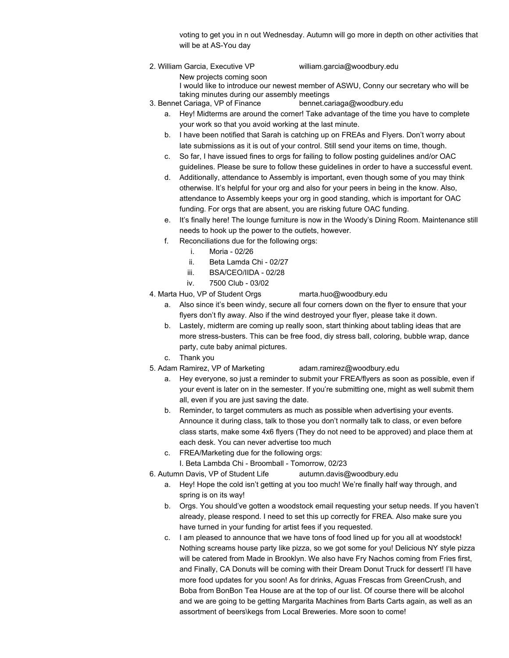voting to get you in n out Wednesday. Autumn will go more in depth on other activities that will be at AS-You day

2. William Garcia, Executive VP [william.garcia@woodbury.edu](mailto:william.garcia@woodbury.edu) 

I would like to introduce our newest member of ASWU, Conny our secretary who will be taking minutes during our assembly meetings

3. Bennet Cariaga, VP of Finance [bennet.cariaga@woodbury.edu](mailto:bennet.cariaga@woodbury.edu)

New projects coming soon

- a. Hey! Midterms are around the corner! Take advantage of the time you have to complete your work so that you avoid working at the last minute.
- b. I have been notified that Sarah is catching up on FREAs and Flyers. Don't worry about late submissions as it is out of your control. Still send your items on time, though.
- c. So far, I have issued fines to orgs for failing to follow posting guidelines and/or OAC guidelines. Please be sure to follow these guidelines in order to have a successful event.
- d. Additionally, attendance to Assembly is important, even though some of you may think otherwise. It's helpful for your org and also for your peers in being in the know. Also, attendance to Assembly keeps your org in good standing, which is important for OAC funding. For orgs that are absent, you are risking future OAC funding.
- e. It's finally here! The lounge furniture is now in the Woody's Dining Room. Maintenance still needs to hook up the power to the outlets, however.
- f. Reconciliations due for the following orgs:
	- i. Moria 02/26
	- ii. Beta Lamda Chi 02/27
	- iii. BSA/CEO/IIDA 02/28
	- iv. 7500 Club 03/02
- 4. Marta Huo, VP of Student Orgs [marta.huo@woodbury.edu](mailto:marta.huo@woodbury.edu)
	- a. Also since it's been windy, secure all four corners down on the flyer to ensure that your flyers don't fly away. Also if the wind destroyed your flyer, please take it down.
	- b. Lastely, midterm are coming up really soon, start thinking about tabling ideas that are more stress-busters. This can be free food, diy stress ball, coloring, bubble wrap, dance party, cute baby animal pictures.
	- c. Thank you
- 5. Adam Ramirez, VP of Marketing adam.ramirez@woodbury.edu
	- a. Hey everyone, so just a reminder to submit your FREA/flyers as soon as possible, even if your event is later on in the semester. If you're submitting one, might as well submit them all, even if you are just saving the date.
	- b. Reminder, to target commuters as much as possible when advertising your events. Announce it during class, talk to those you don't normally talk to class, or even before class starts, make some 4x6 flyers (They do not need to be approved) and place them at each desk. You can never advertise too much
	- c. FREA/Marketing due for the following orgs:
	- I. Beta Lambda Chi Broomball Tomorrow, 02/23

6. Autumn Davis, VP of Student Life [autumn.davis@woodbury.edu](mailto:autumn.davis@woodbury.edu)

- a. Hey! Hope the cold isn't getting at you too much! We're finally half way through, and spring is on its way!
- b. Orgs. You should've gotten a woodstock email requesting your setup needs. If you haven't already, please respond. I need to set this up correctly for FREA. Also make sure you have turned in your funding for artist fees if you requested.
- c. I am pleased to announce that we have tons of food lined up for you all at woodstock! Nothing screams house party like pizza, so we got some for you! Delicious NY style pizza will be catered from Made in Brooklyn. We also have Fry Nachos coming from Fries first, and Finally, CA Donuts will be coming with their Dream Donut Truck for dessert! I'll have more food updates for you soon! As for drinks, Aguas Frescas from GreenCrush, and Boba from BonBon Tea House are at the top of our list. Of course there will be alcohol and we are going to be getting Margarita Machines from Barts Carts again, as well as an assortment of beers\kegs from Local Breweries. More soon to come!